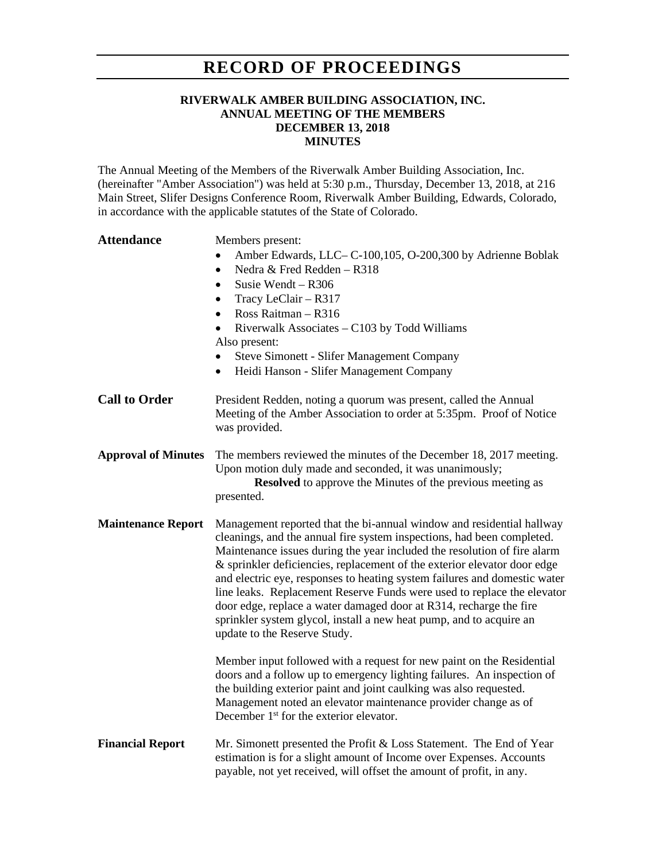## **RECORD OF PROCEEDINGS**

## **RIVERWALK AMBER BUILDING ASSOCIATION, INC. ANNUAL MEETING OF THE MEMBERS DECEMBER 13, 2018 MINUTES**

The Annual Meeting of the Members of the Riverwalk Amber Building Association, Inc. (hereinafter "Amber Association") was held at 5:30 p.m., Thursday, December 13, 2018, at 216 Main Street, Slifer Designs Conference Room, Riverwalk Amber Building, Edwards, Colorado, in accordance with the applicable statutes of the State of Colorado.

| <b>Attendance</b>          | Members present:<br>Amber Edwards, LLC-C-100,105, O-200,300 by Adrienne Boblak<br>$\bullet$<br>Nedra & Fred Redden - R318<br>$\bullet$<br>Susie Wendt $-$ R306<br>$\bullet$<br>Tracy LeClair - R317<br>٠<br>Ross Raitman - R316<br>$\bullet$<br>Riverwalk Associates - C103 by Todd Williams<br>Also present:<br><b>Steve Simonett - Slifer Management Company</b><br>$\bullet$<br>Heidi Hanson - Slifer Management Company<br>$\bullet$                                                                                                                                                                                                     |
|----------------------------|----------------------------------------------------------------------------------------------------------------------------------------------------------------------------------------------------------------------------------------------------------------------------------------------------------------------------------------------------------------------------------------------------------------------------------------------------------------------------------------------------------------------------------------------------------------------------------------------------------------------------------------------|
| <b>Call to Order</b>       | President Redden, noting a quorum was present, called the Annual<br>Meeting of the Amber Association to order at 5:35pm. Proof of Notice<br>was provided.                                                                                                                                                                                                                                                                                                                                                                                                                                                                                    |
| <b>Approval of Minutes</b> | The members reviewed the minutes of the December 18, 2017 meeting.<br>Upon motion duly made and seconded, it was unanimously;<br><b>Resolved</b> to approve the Minutes of the previous meeting as<br>presented.                                                                                                                                                                                                                                                                                                                                                                                                                             |
| <b>Maintenance Report</b>  | Management reported that the bi-annual window and residential hallway<br>cleanings, and the annual fire system inspections, had been completed.<br>Maintenance issues during the year included the resolution of fire alarm<br>& sprinkler deficiencies, replacement of the exterior elevator door edge<br>and electric eye, responses to heating system failures and domestic water<br>line leaks. Replacement Reserve Funds were used to replace the elevator<br>door edge, replace a water damaged door at R314, recharge the fire<br>sprinkler system glycol, install a new heat pump, and to acquire an<br>update to the Reserve Study. |
|                            | Member input followed with a request for new paint on the Residential<br>doors and a follow up to emergency lighting failures. An inspection of<br>the building exterior paint and joint caulking was also requested.<br>Management noted an elevator maintenance provider change as of<br>December 1 <sup>st</sup> for the exterior elevator.                                                                                                                                                                                                                                                                                               |
| <b>Financial Report</b>    | Mr. Simonett presented the Profit & Loss Statement. The End of Year<br>estimation is for a slight amount of Income over Expenses. Accounts<br>payable, not yet received, will offset the amount of profit, in any.                                                                                                                                                                                                                                                                                                                                                                                                                           |